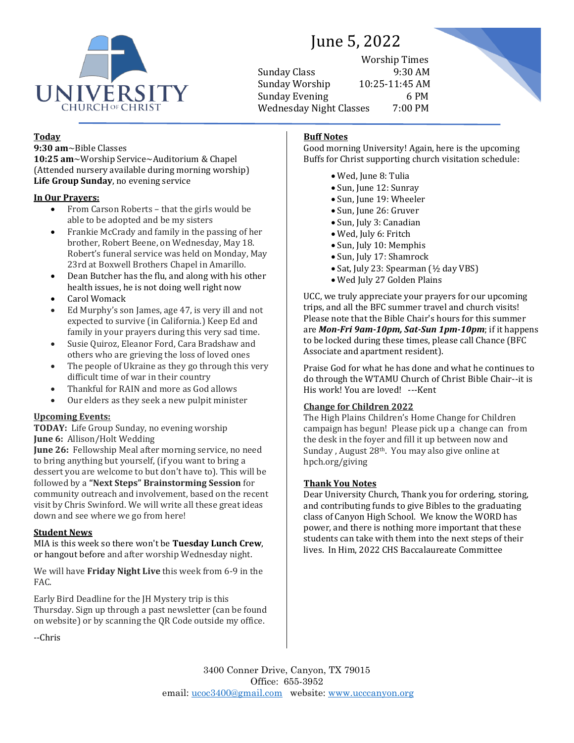

# June 5, 2022

Worship Times Sunday Class 9:30 AM Sunday Worship 10:25-11:45 AM Sunday Evening 6 PM Wednesday Night Classes 7:00 PM



# **Today**

**9:30 am**~Bible Classes **10:25 am**~Worship Service~Auditorium & Chapel (Attended nursery available during morning worship) **Life Group Sunday**, no evening service

# **In Our Prayers:**

- From Carson Roberts that the girls would be able to be adopted and be my sisters
- Frankie McCrady and family in the passing of her brother, Robert Beene, on Wednesday, May 18. Robert's funeral service was held on Monday, May 23rd at Boxwell Brothers Chapel in Amarillo.
- Dean Butcher has the flu, and along with his other health issues, he is not doing well right now
- Carol Womack
- Ed Murphy's son James, age 47, is very ill and not expected to survive (in California.) Keep Ed and family in your prayers during this very sad time.
- Susie Quiroz, Eleanor Ford, Cara Bradshaw and others who are grieving the loss of loved ones
- The people of Ukraine as they go through this very difficult time of war in their country
- Thankful for RAIN and more as God allows
- Our elders as they seek a new pulpit minister

# **Upcoming Events:**

**TODAY:** Life Group Sunday, no evening worship **June 6:** Allison/Holt Wedding

**June 26:** Fellowship Meal after morning service, no need to bring anything but yourself, (if you want to bring a dessert you are welcome to but don't have to). This will be followed by a **"Next Steps" Brainstorming Session** for community outreach and involvement, based on the recent visit by Chris Swinford. We will write all these great ideas down and see where we go from here!

# **Student News**

MIA is this week so there won't be **Tuesday Lunch Crew**, or hangout before and after worship Wednesday night.

We will have **Friday Night Live** this week from 6-9 in the FAC.

Early Bird Deadline for the JH Mystery trip is this Thursday. Sign up through a past newsletter (can be found on website) or by scanning the QR Code outside my office.

--Chris

# **Buff Notes**

Good morning University! Again, here is the upcoming Buffs for Christ supporting church visitation schedule:

- Wed, June 8: Tulia
- Sun, June 12: Sunray
- Sun, June 19: Wheeler
- Sun, June 26: Gruver
- Sun, July 3: Canadian
- Wed, July 6: Fritch
- Sun, July 10: Memphis
- Sun, July 17: Shamrock
- Sat, July 23: Spearman (½ day VBS)
- Wed July 27 Golden Plains

UCC, we truly appreciate your prayers for our upcoming trips, and all the BFC summer travel and church visits! Please note that the Bible Chair's hours for this summer are *Mon-Fri 9am-10pm, Sat-Sun 1pm-10pm*; if it happens to be locked during these times, please call Chance (BFC Associate and apartment resident).

Praise God for what he has done and what he continues to do through the WTAMU Church of Christ Bible Chair--it is His work! You are loved! ---Kent

# **Change for Children 2022**

The High Plains Children's Home Change for Children campaign has begun! Please pick up a change can from the desk in the foyer and fill it up between now and Sunday, August 28<sup>th</sup>. You may also give online at hpch.org/giving

# **Thank You Notes**

Dear University Church, Thank you for ordering, storing, and contributing funds to give Bibles to the graduating class of Canyon High School. We know the WORD has power, and there is nothing more important that these students can take with them into the next steps of their lives. In Him, 2022 CHS Baccalaureate Committee

3400 Conner Drive, Canyon, TX 79015 Office: 655-3952 email: [ucoc3400@gmail.com](mailto:ucoc3400@gmail.com) website: [www.ucccanyon.org](http://www.ucccanyon.org/)